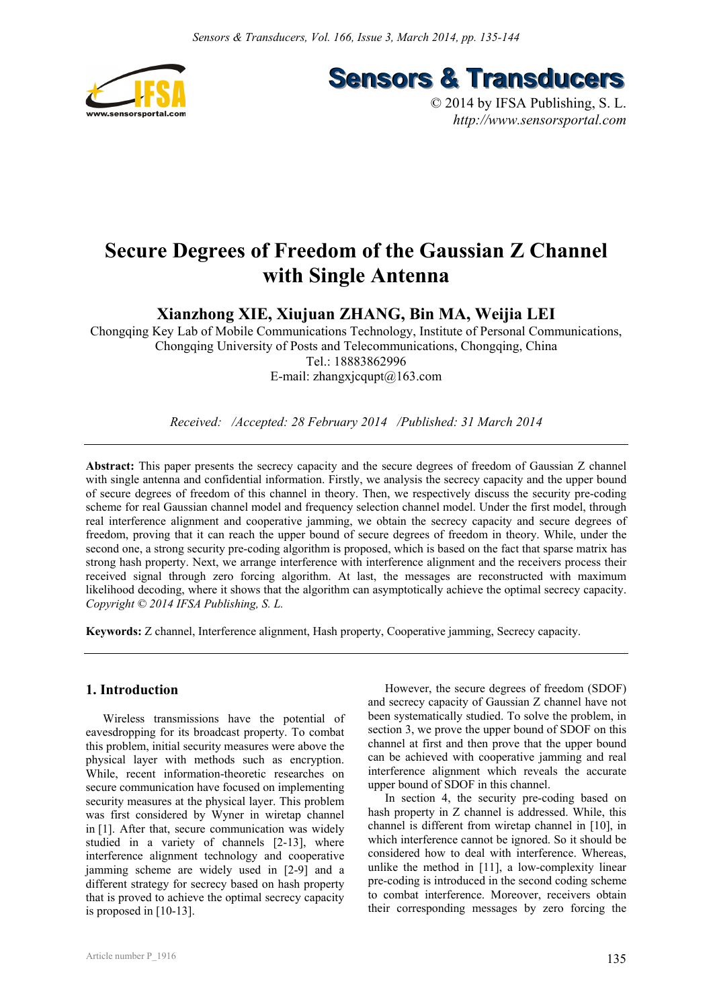

**Sensors & Transducers** 

© 2014 by IFSA Publishing, S. L. *http://www.sensorsportal.com*

# **Secure Degrees of Freedom of the Gaussian Z Channel with Single Antenna**

**Xianzhong XIE, Xiujuan ZHANG, Bin MA, Weijia LEI** 

Chongqing Key Lab of Mobile Communications Technology, Institute of Personal Communications, Chongqing University of Posts and Telecommunications, Chongqing, China Tel.: 18883862996 E-mail: zhangxjcqupt@163.com

*Received: /Accepted: 28 February 2014 /Published: 31 March 2014* 

**Abstract:** This paper presents the secrecy capacity and the secure degrees of freedom of Gaussian Z channel with single antenna and confidential information. Firstly, we analysis the secrecy capacity and the upper bound of secure degrees of freedom of this channel in theory. Then, we respectively discuss the security pre-coding scheme for real Gaussian channel model and frequency selection channel model. Under the first model, through real interference alignment and cooperative jamming, we obtain the secrecy capacity and secure degrees of freedom, proving that it can reach the upper bound of secure degrees of freedom in theory. While, under the second one, a strong security pre-coding algorithm is proposed, which is based on the fact that sparse matrix has strong hash property. Next, we arrange interference with interference alignment and the receivers process their received signal through zero forcing algorithm. At last, the messages are reconstructed with maximum likelihood decoding, where it shows that the algorithm can asymptotically achieve the optimal secrecy capacity. *Copyright © 2014 IFSA Publishing, S. L.*

**Keywords:** Z channel, Interference alignment, Hash property, Cooperative jamming, Secrecy capacity.

# **1. Introduction**

Wireless transmissions have the potential of eavesdropping for its broadcast property. To combat this problem, initial security measures were above the physical layer with methods such as encryption. While, recent information-theoretic researches on secure communication have focused on implementing security measures at the physical layer. This problem was first considered by Wyner in wiretap channel in [1]. After that, secure communication was widely studied in a variety of channels [2-13], where interference alignment technology and cooperative jamming scheme are widely used in [2-9] and a different strategy for secrecy based on hash property that is proved to achieve the optimal secrecy capacity is proposed in [10-13].

However, the secure degrees of freedom (SDOF) and secrecy capacity of Gaussian Z channel have not been systematically studied. To solve the problem, in section 3, we prove the upper bound of SDOF on this channel at first and then prove that the upper bound can be achieved with cooperative jamming and real interference alignment which reveals the accurate upper bound of SDOF in this channel.

In section 4, the security pre-coding based on hash property in Z channel is addressed. While, this channel is different from wiretap channel in [10], in which interference cannot be ignored. So it should be considered how to deal with interference. Whereas, unlike the method in [11], a low-complexity linear pre-coding is introduced in the second coding scheme to combat interference. Moreover, receivers obtain their corresponding messages by zero forcing the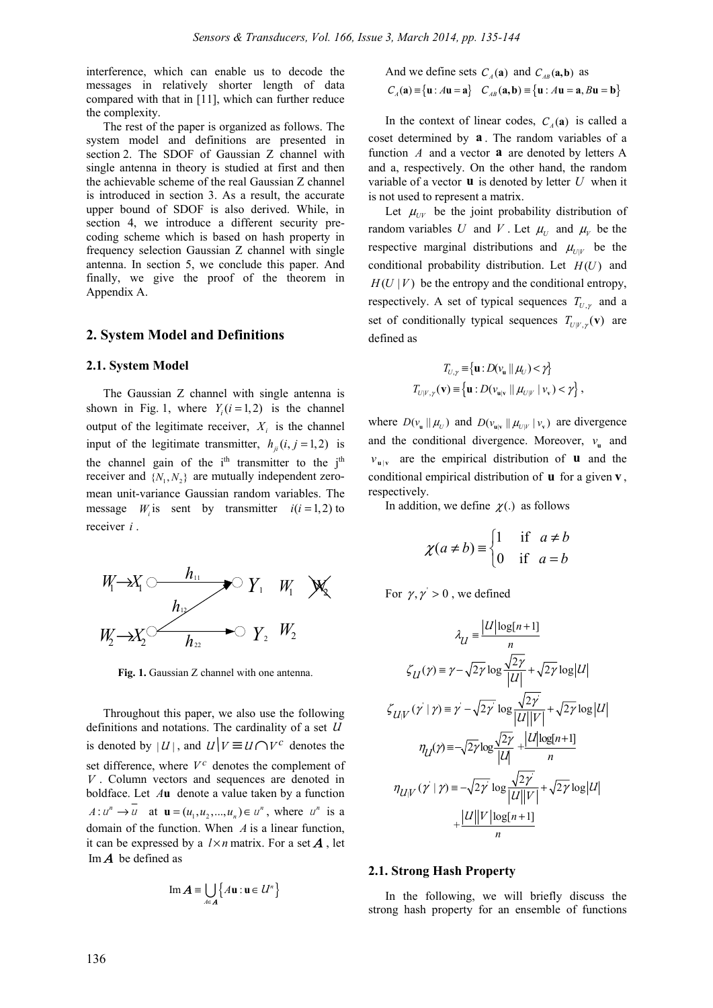interference, which can enable us to decode the messages in relatively shorter length of data compared with that in [11], which can further reduce the complexity.

The rest of the paper is organized as follows. The system model and definitions are presented in section 2. The SDOF of Gaussian Z channel with single antenna in theory is studied at first and then the achievable scheme of the real Gaussian Z channel is introduced in section 3. As a result, the accurate upper bound of SDOF is also derived. While, in section 4, we introduce a different security precoding scheme which is based on hash property in frequency selection Gaussian Z channel with single antenna. In section 5, we conclude this paper. And finally, we give the proof of the theorem in Appendix A.

## **2. System Model and Definitions**

### **2.1. System Model**

The Gaussian Z channel with single antenna is shown in Fig. 1, where  $Y_i$  ( $i = 1, 2$ ) is the channel output of the legitimate receiver,  $X_i$  is the channel input of the legitimate transmitter,  $h_{ii}$  (*i*, *j* = 1, 2) is the channel gain of the i<sup>th</sup> transmitter to the j<sup>th</sup> receiver and  $\{N_1, N_2\}$  are mutually independent zeromean unit-variance Gaussian random variables. The message  $W_i$  is sent by transmitter  $i(i = 1, 2)$  to receiver *i* .



**Fig. 1.** Gaussian Z channel with one antenna.

Throughout this paper, we also use the following definitions and notations. The cardinality of a set  $U$ is denoted by  $|U|$ , and  $U|V \equiv U \cap V^c$  denotes the set difference, where  $V^c$  denotes the complement of  $V$ . Column vectors and sequences are denoted in boldface. Let *A***u** denote a value taken by a function  $A: u^n \to u$  at  $\mathbf{u} = (u_1, u_2, ..., u_n) \in u^n$ , where  $u^n$  is a domain of the function. When *A* is a linear function, it can be expressed by a  $l \times n$  matrix. For a set **A**, let Im  $\boldsymbol{A}$  be defined as

$$
\operatorname{Im} A \equiv \bigcup_{A \in A} \left\{ A \mathbf{u} : \mathbf{u} \in \mathcal{U}^n \right\}
$$

And we define sets 
$$
C_A(\mathbf{a})
$$
 and  $C_{AB}(\mathbf{a}, \mathbf{b})$  as  
\n $C_A(\mathbf{a}) \equiv {\mathbf{u} : A\mathbf{u} = \mathbf{a}} \quad C_{AB}(\mathbf{a}, \mathbf{b}) \equiv {\mathbf{u} : A\mathbf{u} = \mathbf{a}, B\mathbf{u} = \mathbf{b}}$ 

In the context of linear codes,  $C_A(\mathbf{a})$  is called a coset determined by **a** . The random variables of a function *A* and a vector **a** are denoted by letters A and a, respectively. On the other hand, the random variable of a vector  $\bf{u}$  is denoted by letter  $U$  when it is not used to represent a matrix.

Let  $\mu_{UV}$  be the joint probability distribution of random variables *U* and *V*. Let  $\mu_U$  and  $\mu_V$  be the respective marginal distributions and  $\mu_{UV}$  be the conditional probability distribution. Let  $H(U)$  and  $H(U | V)$  be the entropy and the conditional entropy, respectively. A set of typical sequences  $T_{U,\gamma}$  and a set of conditionally typical sequences  $T_{U|V, \gamma}(\mathbf{v})$  are defined as

$$
T_{U,\gamma} \equiv \{ \mathbf{u} : D(\mathbf{v}_{\mathbf{u}} \mid \mid \mathcal{H}_U) < \gamma \}
$$
\n
$$
T_{U|V,\gamma}(\mathbf{v}) \equiv \left\{ \mathbf{u} : D(\mathbf{v}_{\mathbf{u}|\mathbf{v}} \mid \mid \mathcal{H}_{U|V} \mid \mathbf{v}_{\mathbf{v}}) < \gamma \right\},
$$

where  $D(v_u || \mu_U)$  and  $D(v_{u|v} || \mu_{U|V} | v_v)$  are divergence and the conditional divergence. Moreover,  $v_n$  and  $v_{\mathbf{u}|\mathbf{v}}$  are the empirical distribution of **u** and the conditional empirical distribution of **u** for a given **v** , respectively.

In addition, we define  $\chi$ (.) as follows

$$
\chi(a \neq b) \equiv \begin{cases} 1 & \text{if } a \neq b \\ 0 & \text{if } a = b \end{cases}
$$

For  $\gamma, \gamma' > 0$ , we defined

$$
\lambda_{U} = \frac{|U|\log[n+1]}{n}
$$
  

$$
\zeta_{U}(y) = \gamma - \sqrt{2\gamma}\log\frac{\sqrt{2\gamma}}{|U|} + \sqrt{2\gamma}\log|U|
$$
  

$$
\zeta_{U|V}(y'|y) = \gamma - \sqrt{2\gamma}\log\frac{\sqrt{2\gamma}}{|U||V|} + \sqrt{2\gamma}\log|U|
$$
  

$$
\eta_{U}(y) = -\sqrt{2\gamma}\log\frac{\sqrt{2\gamma}}{|U|} + \frac{|U|\log[n+1]}{n}
$$
  

$$
\eta_{U|V}(y'|y) = -\sqrt{2\gamma}\log\frac{\sqrt{2\gamma}}{|U||V|} + \sqrt{2\gamma}\log|U|
$$
  

$$
+ \frac{|U||V|\log[n+1]}{n}
$$

## **2.1. Strong Hash Property**

In the following, we will briefly discuss the strong hash property for an ensemble of functions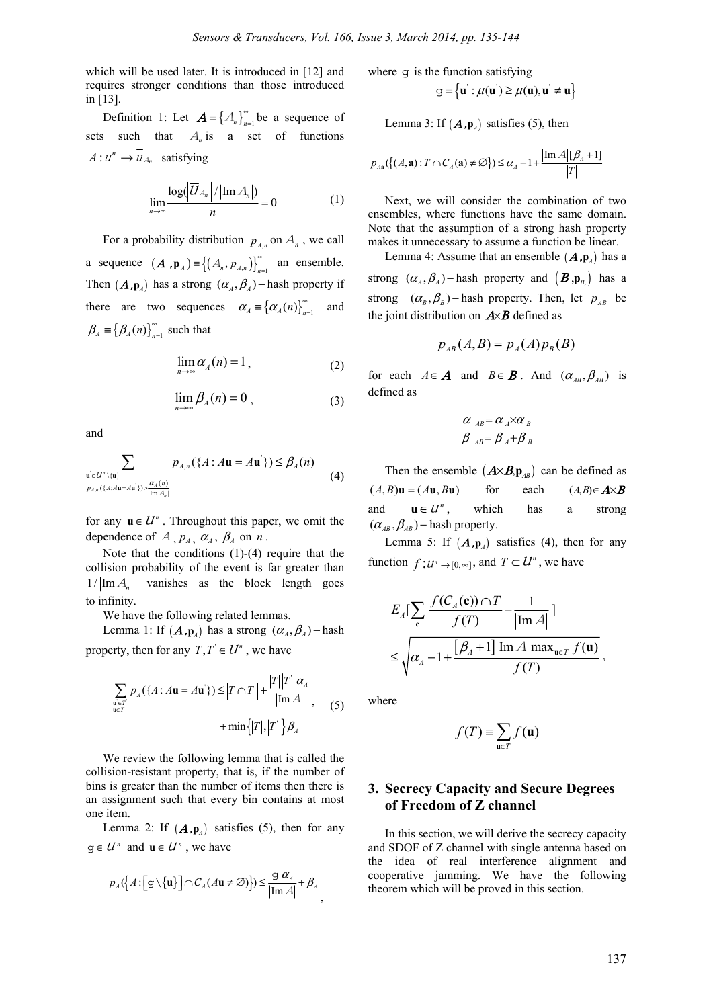which will be used later. It is introduced in [12] and requires stronger conditions than those introduced in [13].

Definition 1: Let  $\mathbf{A} = \{A_n\}_{n=1}^{\infty}$  be a sequence of sets such that  $A_n$  is a set of functions  $A: u^n \to \overline{u}_{A_n}$  satisfying

$$
\lim_{n\to\infty}\frac{\log(\left|\overline{U}_{A_n}\right|/\left|\text{Im}\,A_n\right|)}{n}=0\tag{1}
$$

For a probability distribution  $p_{A_n}$  on  $A_n$ , we call a sequence  $(A, \mathbf{p}_A) = \{(A_n, P_{A,n})\}_{n=1}^{\infty}$  an ensemble. Then  $(A, \mathbf{p}_A)$  has a strong  $(\alpha_A, \beta_A)$  – hash property if there are two sequences  $\alpha_A = {\alpha_A(n)}_{n=1}^{\infty}$  and  ${\beta}_A \equiv {\beta_A(n)}_{n=1}^{\infty}$  such that

$$
\lim_{n \to \infty} \alpha_A(n) = 1, \tag{2}
$$

$$
\lim_{n \to \infty} \beta_A(n) = 0 , \qquad (3)
$$

and

$$
\sum_{\mathbf{u'}\in L^m\setminus\{\mathbf{u}\}\atop P_{A,n}(\{A:A\mathbf{u}=A\mathbf{u'}\})>\frac{\alpha_A(n)}{|\text{Im }A_n|}} p_{A,n}(\{A:A\mathbf{u}=A\mathbf{u'}\}) \leq \beta_A(n)
$$
(4)

for any  $u \in U^n$ . Throughout this paper, we omit the dependence of  $A_1$ ,  $p_A$ ,  $\alpha_A$ ,  $\beta_A$  on  $n$ .

Note that the conditions (1)-(4) require that the collision probability of the event is far greater than  $1/$  Im  $A_n$  vanishes as the block length goes to infinity.

We have the following related lemmas.

Lemma 1: If  $(A, \mathbf{p}_A)$  has a strong  $(\alpha_A, \beta_A)$  – hash property, then for any  $T, T \in \mathcal{U}^n$ , we have

$$
\sum_{\substack{\mathbf{u} \in T \\ \mathbf{u} \in T}} p_A(\lbrace A : A\mathbf{u} = A\mathbf{u}^{\cdot} \rbrace) \le \Big| T \cap T \Big| + \frac{|T||T||\alpha_A}{|\text{Im } A|}, \quad (5)
$$

$$
+ \min \Big\{ |T|, |T'| \Big\} \beta_A
$$

We review the following lemma that is called the collision-resistant property, that is, if the number of bins is greater than the number of items then there is an assignment such that every bin contains at most one item.

Lemma 2: If  $(A, \mathbf{p}_A)$  satisfies (5), then for any *q* ∈  $U^n$  and *u* ∈  $U^n$ , we have

$$
p_{A}\left(\left\{A:\left[\mathbf{g}\setminus\{\mathbf{u}\}\right]\right]\cap C_{A}(A\mathbf{u}\neq\varnothing)\right\}\right)\leq\frac{|\mathbf{g}|\alpha_{A}|}{|\text{Im}\,A|}+\beta_{A},
$$

where  $q$  is the function satisfying

$$
g \equiv \left\{ u^{'} : \mu(u^{'} ) \geq \mu(u), u^{'} \neq u \right\}
$$

Lemma 3: If  $(A, \mathbf{p}_A)$  satisfies (5), then

$$
p_{A\mathbf{a}}(\{(A,\mathbf{a}):T\cap C_{A}(\mathbf{a})\neq\emptyset\})\leq\alpha_{A}-1+\frac{|\text{Im}\,A|[\beta_{A}+1]}{|T|}
$$

Next, we will consider the combination of two ensembles, where functions have the same domain. Note that the assumption of a strong hash property makes it unnecessary to assume a function be linear.

Lemma 4: Assume that an ensemble  $(A, \mathbf{p}_A)$  has a strong  $(\alpha_A, \beta_A)$  – hash property and  $(\mathbf{B}, \mathbf{p}_B)$  has a strong  $(\alpha_{B}, \beta_{B})$  – hash property. Then, let  $p_{AB}$  be the joint distribution on  $A \times B$  defined as

$$
p_{AB}(A,B) = p_A(A)p_B(B)
$$

for each  $A \in \mathbf{A}$  and  $B \in \mathbf{B}$ . And  $(\alpha_{AB}, \beta_{AB})$  is defined as

$$
\begin{array}{c}\n\alpha_{AB} = \alpha_A \times \alpha_B \\
\beta_{AB} = \beta_A + \beta_B\n\end{array}
$$

Then the ensemble  $(A \times B, p_{AB})$  can be defined as  $(A, B)$ **u** =  $(A$ **u**,  $B$ **u**) for each  $(A, B) \in A \times B$ and  $\mathbf{u} \in \mathcal{U}^n$ , which has a strong  $(\alpha_{AB}, \beta_{AB})$  – hash property.

Lemma 5: If  $(A, \mathbf{p}_A)$  satisfies (4), then for any function  $f: U^n \to [0, \infty]$ , and  $T \subset U^n$ , we have

$$
E_A\left[\sum_{\mathbf{c}}\left|\frac{f(C_A(\mathbf{c})) \cap T}{f(T)} - \frac{1}{|\text{Im }A|}\right|\right]
$$
  

$$
\leq \sqrt{\alpha_A - 1 + \frac{[\beta_A + 1] |\text{Im }A| \max_{\mathbf{u} \in T} f(\mathbf{u})}{f(T)}},
$$

where

$$
f(T) \equiv \sum_{\mathbf{u} \in T} f(\mathbf{u})
$$

# **3. Secrecy Capacity and Secure Degrees of Freedom of Z channel**

In this section, we will derive the secrecy capacity and SDOF of Z channel with single antenna based on the idea of real interference alignment and cooperative jamming. We have the following theorem which will be proved in this section.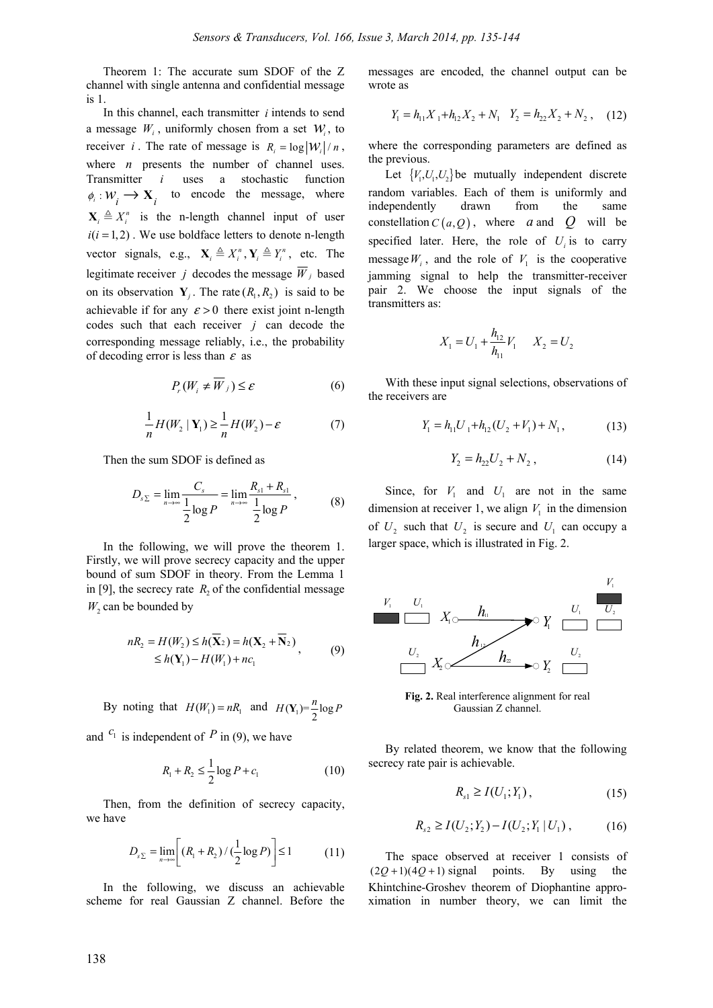Theorem 1: The accurate sum SDOF of the Z channel with single antenna and confidential message is 1.

In this channel, each transmitter *i* intends to send a message  $W_i$ , uniformly chosen from a set  $W_i$ , to receiver *i*. The rate of message is  $R_i = \log |W_i| / n$ , where *n* presents the number of channel uses. Transmitter *i* uses a stochastic function  $\phi_i: W_i \longrightarrow \mathbf{X}_i$  to encode the message, where  $X_i \triangleq X_i^n$  is the n-length channel input of user  $i(i = 1, 2)$ . We use boldface letters to denote n-length vector signals, e.g.,  $\mathbf{X}_i \triangleq X_i^n$ ,  $\mathbf{Y}_i \triangleq Y_i^n$ , etc. The legitimate receiver *j* decodes the message  $\overline{W}_j$  based on its observation  $Y_i$ . The rate  $(R_1, R_2)$  is said to be achievable if for any  $\varepsilon > 0$  there exist joint n-length codes such that each receiver *j* can decode the corresponding message reliably, i.e., the probability of decoding error is less than  $\varepsilon$  as

$$
P_{r}(W_{i} \neq \overline{W}_{j}) \leq \varepsilon \tag{6}
$$

$$
\frac{1}{n}H(W_2 | \mathbf{Y}_1) \ge \frac{1}{n}H(W_2) - \varepsilon \tag{7}
$$

Then the sum SDOF is defined as

$$
D_{s_{\Sigma}} = \lim_{n \to \infty} \frac{C_s}{\frac{1}{2} \log P} = \lim_{n \to \infty} \frac{R_{s_1} + R_{s_1}}{\frac{1}{2} \log P},
$$
(8)

In the following, we will prove the theorem 1. Firstly, we will prove secrecy capacity and the upper bound of sum SDOF in theory. From the Lemma 1 in [9], the secrecy rate  $R_2$  of the confidential message *W*<sub>2</sub> can be bounded by

$$
nR_2 = H(W_2) \le h(\overline{\mathbf{X}}_2) = h(\mathbf{X}_2 + \overline{\mathbf{N}}_2)
$$
  
\n
$$
\le h(\mathbf{Y}_1) - H(W_1) + nc_1
$$
\n(9)

By noting that  $H(W_1) = nR_1$  and  $H(Y_1) = \frac{n}{2} \log P$ 

and  $c_1$  is independent of P in (9), we have

$$
R_1 + R_2 \le \frac{1}{2} \log P + c_1 \tag{10}
$$

Then, from the definition of secrecy capacity, we have

$$
D_{s\Sigma} = \lim_{n \to \infty} \left[ \left( R_1 + R_2 \right) / \left( \frac{1}{2} \log P \right) \right] \le 1 \tag{11}
$$

In the following, we discuss an achievable scheme for real Gaussian Z channel. Before the messages are encoded, the channel output can be wrote as

$$
Y_1 = h_{11}X_1 + h_{12}X_2 + N_1 \quad Y_2 = h_{22}X_2 + N_2 \,, \quad (12)
$$

where the corresponding parameters are defined as the previous.

Let  ${V_1, U_1, U_2}$  be mutually independent discrete random variables. Each of them is uniformly and independently drawn from the same constellation  $C(a, Q)$ , where *a* and *Q* will be specified later. Here, the role of  $U_i$  is to carry message  $W_i$ , and the role of  $V_1$  is the cooperative jamming signal to help the transmitter-receiver pair 2. We choose the input signals of the transmitters as:

$$
X_1 = U_1 + \frac{h_{12}}{h_{11}} V_1 \qquad X_2 = U_2
$$

With these input signal selections, observations of the receivers are

$$
Y_1 = h_{11}U_1 + h_{12}(U_2 + V_1) + N_1, \tag{13}
$$

$$
Y_2 = h_{22}U_2 + N_2, \t\t(14)
$$

Since, for  $V_1$  and  $U_1$  are not in the same dimension at receiver 1, we align  $V_1$  in the dimension of  $U_2$  such that  $U_2$  is secure and  $U_1$  can occupy a larger space, which is illustrated in Fig. 2.



**Fig. 2.** Real interference alignment for real Gaussian Z channel.

By related theorem, we know that the following secrecy rate pair is achievable.

$$
R_{s1} \ge I(U_1; Y_1), \tag{15}
$$

$$
R_{s2} \ge I(U_2; Y_2) - I(U_2; Y_1 | U_1), \tag{16}
$$

The space observed at receiver 1 consists of  $(2Q+1)(4Q+1)$  signal points. By using the Khintchine-Groshev theorem of Diophantine approximation in number theory, we can limit the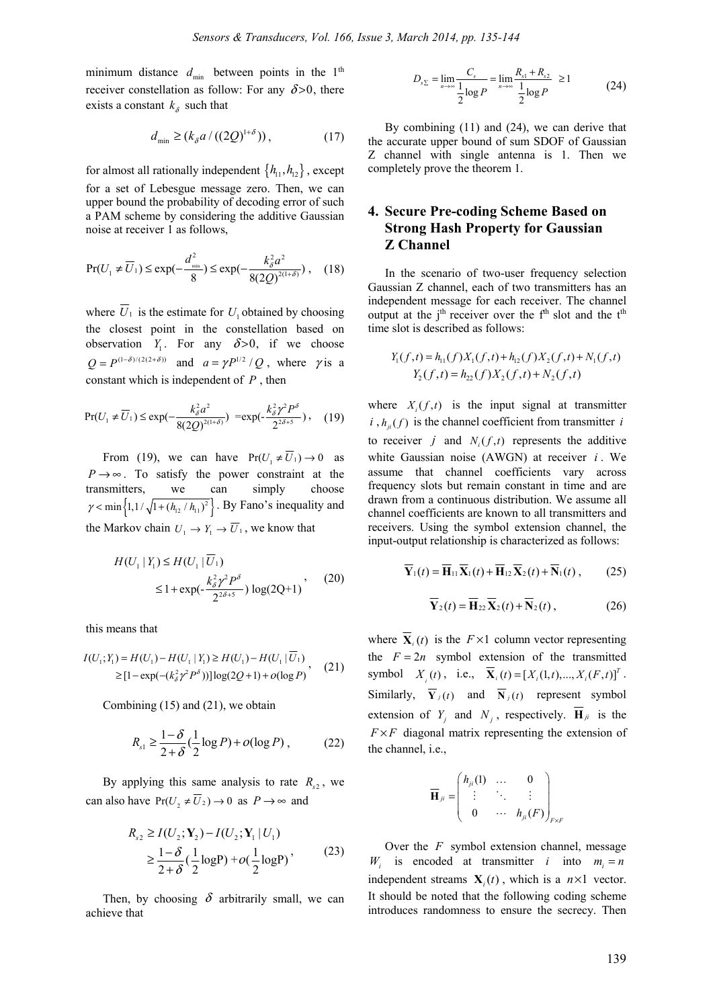minimum distance  $d_{\min}$  between points in the 1<sup>th</sup> receiver constellation as follow: For any  $\delta > 0$ , there exists a constant  $k_{\delta}$  such that

$$
d_{\min} \ge (k_{\delta} a / ((2Q)^{1+\delta})), \tag{17}
$$

for almost all rationally independent  $\{h_{11}, h_{12}\}$ , except for a set of Lebesgue message zero. Then, we can upper bound the probability of decoding error of such a PAM scheme by considering the additive Gaussian noise at receiver 1 as follows,

$$
\Pr(U_1 \neq \overline{U}_1) \le \exp(-\frac{d_{\min}^2}{8}) \le \exp(-\frac{k_{\delta}^2 a^2}{8(2Q)^{2(1+\delta)}}), \quad (18)
$$

where  $\overline{U}_1$  is the estimate for  $U_1$  obtained by choosing the closest point in the constellation based on observation  $Y_1$ . For any  $\delta > 0$ , if we choose  $Q = P^{(1-\delta)/(2(2+\delta))}$  and  $a = \gamma P^{1/2} / Q$ , where  $\gamma$  is a constant which is independent of *P* , then

$$
\Pr(U_1 \neq \overline{U}_1) \le \exp(-\frac{k_\delta^2 a^2}{8(2Q)^{2(1+\delta)}}) = \exp(-\frac{k_\delta^2 \gamma^2 P^\delta}{2^{2\delta+5}}), \quad (19)
$$

From (19), we can have  $Pr(U_1 \neq \overline{U_1}) \rightarrow 0$  as  $P \rightarrow \infty$ . To satisfy the power constraint at the transmitters, we can simply choose  $\gamma$  < min  $\left\{ 1, 1/\sqrt{1 + (h_{12}/h_{11})^2} \right\}$ . By Fano's inequality and the Markov chain  $U_1 \rightarrow Y_1 \rightarrow \overline{U}_1$ , we know that

$$
H(U_1 | Y_1) \le H(U_1 | \overline{U}_1)
$$
  
\n
$$
\le 1 + \exp(-\frac{k_{\delta}^2 \gamma^2 P^{\delta}}{2^{2\delta + 5}}) \log(2Q + 1)
$$
 (20)

this means that

$$
I(U_1; Y_1) = H(U_1) - H(U_1 | Y_1) \ge H(U_1) - H(U_1 | \overline{U}_1)
$$
  
\n
$$
\ge [1 - \exp(-(k_\delta^2 \gamma^2 P^\delta))] \log(2Q + 1) + o(\log P), \quad (21)
$$

Combining (15) and (21), we obtain

$$
R_{s1} \ge \frac{1-\delta}{2+\delta} \left(\frac{1}{2}\log P\right) + o(\log P) \,,\tag{22}
$$

By applying this same analysis to rate  $R_{s2}$ , we can also have  $Pr(U_2 \neq \overline{U_2}) \rightarrow 0$  as  $P \rightarrow \infty$  and

$$
R_{s2} \ge I(U_2; Y_2) - I(U_2; Y_1 | U_1)
$$
  
\n
$$
\ge \frac{1 - \delta}{2 + \delta} \left(\frac{1}{2} \log P\right) + o\left(\frac{1}{2} \log P\right),
$$
 (23)

Then, by choosing  $\delta$  arbitrarily small, we can achieve that

$$
D_{s\Sigma} = \lim_{n \to \infty} \frac{C_s}{\frac{1}{2} \log P} = \lim_{n \to \infty} \frac{R_{s1} + R_{s2}}{\frac{1}{2} \log P} \ge 1
$$
 (24)

By combining (11) and (24), we can derive that the accurate upper bound of sum SDOF of Gaussian Z channel with single antenna is 1. Then we completely prove the theorem 1.

# **4. Secure Pre-coding Scheme Based on Strong Hash Property for Gaussian Z Channel**

In the scenario of two-user frequency selection Gaussian Z channel, each of two transmitters has an independent message for each receiver. The channel output at the  $j<sup>th</sup>$  receiver over the  $f<sup>th</sup>$  slot and the  $t<sup>th</sup>$ time slot is described as follows:

$$
Y_1(f,t) = h_{11}(f)X_1(f,t) + h_{12}(f)X_2(f,t) + N_1(f,t)
$$
  

$$
Y_2(f,t) = h_{22}(f)X_2(f,t) + N_2(f,t)
$$

where  $X_i(f,t)$  is the input signal at transmitter  $i, h_{ii}(f)$  is the channel coefficient from transmitter *i* to receiver *j* and  $N_i(f,t)$  represents the additive white Gaussian noise (AWGN) at receiver *i* . We assume that channel coefficients vary across frequency slots but remain constant in time and are drawn from a continuous distribution. We assume all channel coefficients are known to all transmitters and receivers. Using the symbol extension channel, the input-output relationship is characterized as follows:

$$
\overline{\mathbf{Y}}_1(t) = \overline{\mathbf{H}}_{11} \overline{\mathbf{X}}_1(t) + \overline{\mathbf{H}}_{12} \overline{\mathbf{X}}_2(t) + \overline{\mathbf{N}}_1(t) ,\qquad(25)
$$

$$
\overline{\mathbf{Y}}_2(t) = \overline{\mathbf{H}}_{22} \overline{\mathbf{X}}_2(t) + \overline{\mathbf{N}}_2(t), \qquad (26)
$$

where  $\overline{\mathbf{X}}_i(t)$  is the  $F \times 1$  column vector representing the  $F = 2n$  symbol extension of the transmitted symbol  $X_i(t)$ , i.e.,  $\overline{X}_i(t) = [X_i(1, t),..., X_i(F, t)]^T$ . Similarly,  $\overline{Y}_i(t)$  and  $\overline{N}_i(t)$  represent symbol extension of  $Y_i$  and  $N_i$ , respectively.  $\overline{H}_{ji}$  is the  $F \times F$  diagonal matrix representing the extension of the channel, i.e.,

$$
\overline{\mathbf{H}}_{ji} = \begin{pmatrix} h_{ji}(1) & \dots & 0 \\ \vdots & \ddots & \vdots \\ 0 & \dots & h_{ji}(F) \end{pmatrix}_{F \times F}
$$

Over the *F* symbol extension channel, message  $W_i$  is encoded at transmitter *i* into  $m_i = n$ independent streams  $\mathbf{X}_i(t)$ , which is a  $n \times 1$  vector. It should be noted that the following coding scheme introduces randomness to ensure the secrecy. Then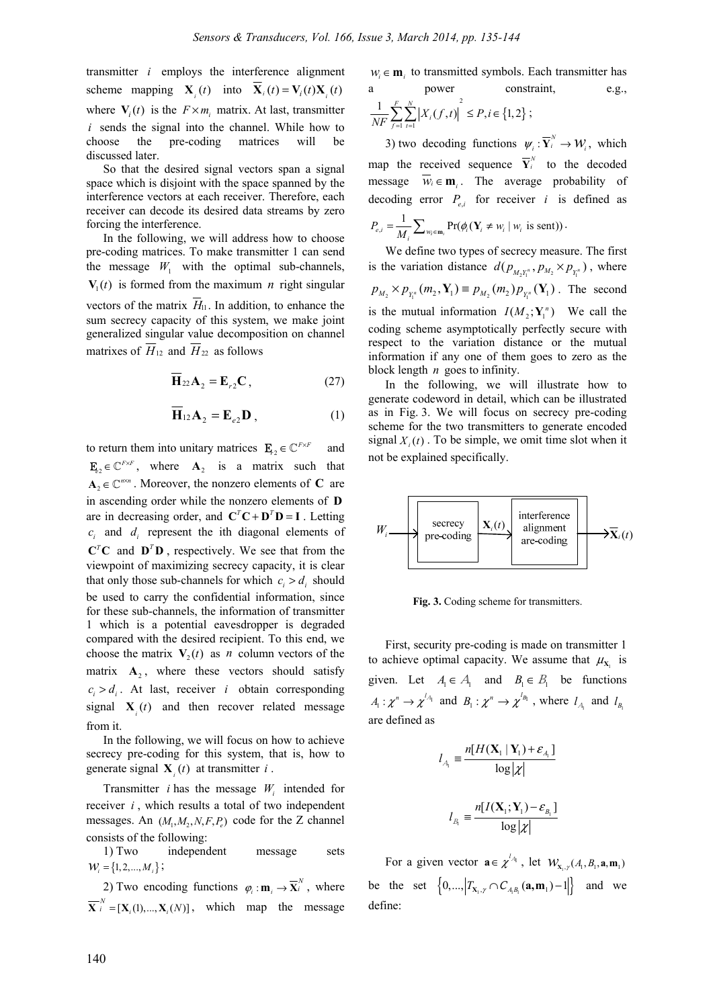transmitter *i* employs the interference alignment scheme mapping  $\mathbf{X}_i(t)$  into  $\mathbf{X}_i(t) = \mathbf{V}_i(t) \mathbf{X}_i(t)$ where  $V_i(t)$  is the  $F \times m_i$  matrix. At last, transmitter *i* sends the signal into the channel. While how to choose the pre-coding matrices will be discussed later.

So that the desired signal vectors span a signal space which is disjoint with the space spanned by the interference vectors at each receiver. Therefore, each receiver can decode its desired data streams by zero forcing the interference.

In the following, we will address how to choose pre-coding matrices. To make transmitter 1 can send the message  $W_1$  with the optimal sub-channels,  $V_1(t)$  is formed from the maximum *n* right singular vectors of the matrix  $H<sub>11</sub>$ . In addition, to enhance the sum secrecy capacity of this system, we make joint generalized singular value decomposition on channel

matrixes of  $\overline{H}_{12}$  and  $\overline{H}_{22}$  as follows

$$
\overline{\mathbf{H}}_{22}\mathbf{A}_2 = \mathbf{E}_{r2}\mathbf{C},\qquad(27)
$$

$$
\overline{\mathbf{H}}_{12}\mathbf{A}_2 = \mathbf{E}_{e2}\mathbf{D},\qquad(1)
$$

to return them into unitary matrices  $\mathbf{E}_{t_2} \in \mathbb{C}^{F \times F}$  and  $\mathbf{F}_{2} \in \mathbb{C}^{F \times F}$ , where  $\mathbf{A}_{2}$  is a matrix such that  $A_2 \in \mathbb{C}^{n \times n}$ . Moreover, the nonzero elements of **C** are in ascending order while the nonzero elements of **D** are in decreasing order, and  $C^T C + D^T D = I$ . Letting  $c_i$  and  $d_i$  represent the ith diagonal elements of  $C^T C$  and  $D^T D$ , respectively. We see that from the viewpoint of maximizing secrecy capacity, it is clear that only those sub-channels for which  $c_i > d_i$  should be used to carry the confidential information, since for these sub-channels, the information of transmitter 1 which is a potential eavesdropper is degraded compared with the desired recipient. To this end, we choose the matrix  $V_2(t)$  as *n* column vectors of the matrix  $\mathbf{A}_2$ , where these vectors should satisfy  $c_i > d_i$ . At last, receiver *i* obtain corresponding signal  $\mathbf{X}_i(t)$  and then recover related message from it.

In the following, we will focus on how to achieve secrecy pre-coding for this system, that is, how to generate signal  $\mathbf{X}_i(t)$  at transmitter *i*.

Transmitter *i* has the message  $W_i$  intended for receiver *i* , which results a total of two independent messages. An  $(M_1, M_2, N, F, P_1)$  code for the Z channel consists of the following:

1) Two independent message sets  $W_i = \{1, 2, ..., M_i\};$ 

2) Two encoding functions  $\varphi_i : \mathbf{m}_i \to \mathbf{\overline{X}}_i^N$ , where  $\overline{\mathbf{X}}_i^N = [\mathbf{X}_i(1), ..., \mathbf{X}_i(N)]$ , which map the message

 $W_i \in \mathbf{m}_i$  to transmitted symbols. Each transmitter has a power constraint, e.g.,

$$
\frac{1}{NF} \sum_{f=1}^{F} \sum_{t=1}^{N} \left| X_i(f,t) \right|^2 \le P, i \in \{1,2\} ;
$$

3) two decoding functions  $\psi_i : \overline{Y}_i^N \to \mathcal{W}_i$ , which map the received sequence  $\overline{Y}_i^N$  to the decoded message  $\overline{w_i} \in \mathbf{m}_i$ . The average probability of decoding error  $P_{e,i}$  for receiver *i* is defined as  $P_{e,i} = \frac{1}{M_i} \sum_{w_i \in \mathbf{m}_i} \text{Pr}(\phi_i(\mathbf{Y}_i \neq w_i \mid w_i \text{ is sent})).$ 

We define two types of secrecy measure. The first is the variation distance  $d(p_{M_2 Y_1^n}, p_{M_2} \times p_{Y_1^n})$ , where  $p_{M_2} \times p_{Y_1^n}(m_2, Y_1) \equiv p_{M_2}(m_2) p_{Y_1^n}(Y_1)$ . The second is the mutual information  $I(M_2; Y_1^n)$  We call the coding scheme asymptotically perfectly secure with respect to the variation distance or the mutual information if any one of them goes to zero as the block length *n* goes to infinity.

In the following, we will illustrate how to generate codeword in detail, which can be illustrated as in Fig. 3. We will focus on secrecy pre-coding scheme for the two transmitters to generate encoded signal  $X_i(t)$ . To be simple, we omit time slot when it not be explained specifically.



**Fig. 3.** Coding scheme for transmitters.

First, security pre-coding is made on transmitter 1 to achieve optimal capacity. We assume that  $\mu_{\mathbf{x}}$  is given. Let  $A_1 \in A_1$  and  $B_1 \in B_1$  be functions  $A_1: \chi^n \to \chi^{lA_1}$  and  $B_1: \chi^n \to \chi^{lB_1}$ , where  $l_{A_1}$  and  $l_{B_1}$ are defined as

$$
l_{A_i} = \frac{n[H(\mathbf{X}_1 | \mathbf{Y}_1) + \varepsilon_{A_i}]}{\log |\chi|}
$$

$$
l_{B_i} = \frac{n[I(\mathbf{X}_1; \mathbf{Y}_1) - \varepsilon_{B_i}]}{\log |\chi|}
$$

 $log|_{\chi}$ 

For a given vector  $\mathbf{a} \in \chi^{\n}A_1}$ , let  $W_{\mathbf{x}_1, \gamma}(A_1, B_1, \mathbf{a}, \mathbf{m}_1)$ be the set  $\left\{0, \ldots, \left|T_{\mathbf{X}_1, \gamma} \cap C_{A_i B_i}(\mathbf{a}, \mathbf{m}_1) - 1\right|\right\}$  and we define: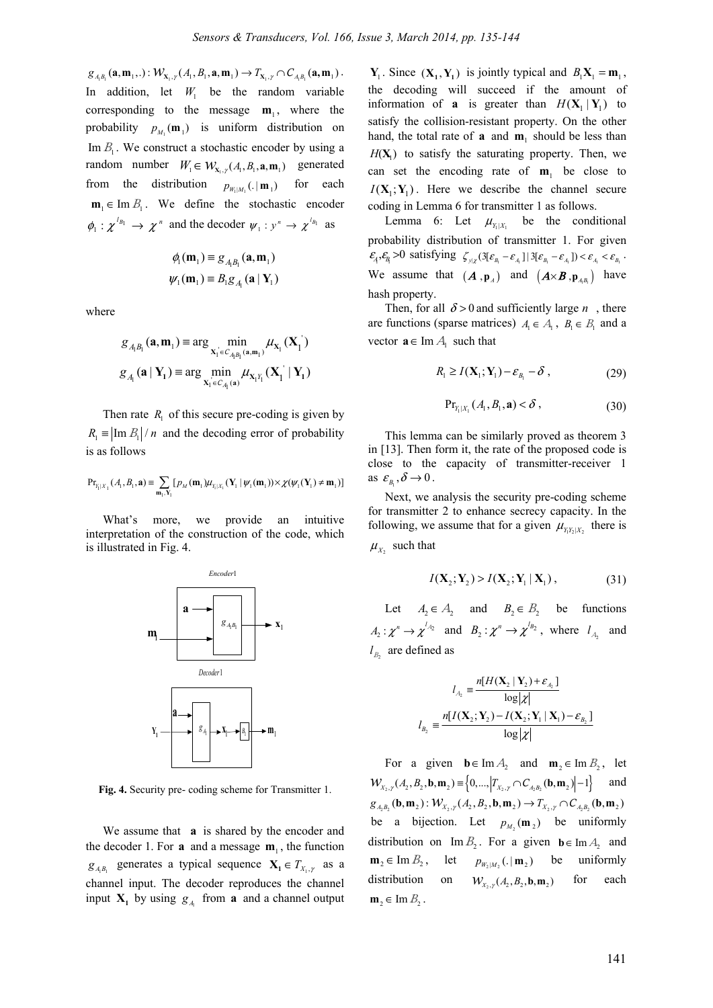$g_{A_iB_i}(\mathbf{a}, \mathbf{m}_1, .): \mathcal{W}_{\mathbf{X}_i, \gamma}(A_i, B_i, \mathbf{a}, \mathbf{m}_1) \to T_{\mathbf{X}_i, \gamma} \cap C_{A_iB_i}(\mathbf{a}, \mathbf{m}_1).$ In addition, let  $W_1$  be the random variable corresponding to the message  $m_1$ , where the probability  $p_{M}$  ( $m_1$ ) is uniform distribution on Im  $B_1$ . We construct a stochastic encoder by using a random number  $W_1 \in W_{\mathbf{x}_1, \mathbf{y}}(A_1, B_1, \mathbf{a}, \mathbf{m}_1)$  generated from the distribution  $p_{W \cup M}$  (. | **m** <sub>1</sub> ) for each  $\mathbf{m}_{i} \in \text{Im } B_{i}$ . We define the stochastic encoder  $\phi_1 : \chi^{l_{B_1}} \to \chi^n$  and the decoder  $\psi_1 : y^n \to \chi^{l_{B_1}}$  as

$$
\phi_1(\mathbf{m}_1) \equiv g_{A_1B_1}(\mathbf{a}, \mathbf{m}_1)
$$

$$
\psi_1(\mathbf{m}_1) \equiv B_1g_{A_1}(\mathbf{a} | \mathbf{Y}_1)
$$

where

$$
g_{A_iB_i}(\mathbf{a}, \mathbf{m}_1) \equiv \arg \min_{\mathbf{X}_1 \in C_{A_iB_i}(\mathbf{a}, \mathbf{m}_1)} \mu_{\mathbf{X}_1}(\mathbf{X}_1)
$$
  

$$
g_{A_i}(\mathbf{a} | \mathbf{Y}_1) \equiv \arg \min_{\mathbf{X}_1 \in C_{A_i}(\mathbf{a})} \mu_{\mathbf{X}_1Y_1}(\mathbf{X}_1 | \mathbf{Y}_1)
$$

Then rate  $R_1$  of this secure pre-coding is given by  $R_1 \equiv \left| \text{Im } B_1 \right| / n$  and the decoding error of probability is as follows

$$
\mathrm{Pr}_{\gamma_i | \boldsymbol{X}_1}\left(\mathcal{A}_1, \mathcal{B}_1, \mathbf{a} \right) \equiv \sum_{\mathbf{m}_1, \mathbf{Y}_1} \big[ \, p_{\mathcal{M}}\left(\mathbf{m}_1\right) \boldsymbol{\mu}_{\gamma_i | \boldsymbol{X}_1}\left(\mathbf{Y}_1 \mid \boldsymbol{\psi}_1\left(\mathbf{m}_1\right) \right) \times \boldsymbol{\chi}(\boldsymbol{\psi}_1(\mathbf{Y}_1) \neq \mathbf{m}_1) \big]
$$

What's more, we provide an intuitive interpretation of the construction of the code, which is illustrated in Fig. 4.



**Fig. 4.** Security pre- coding scheme for Transmitter 1.

We assume that **a** is shared by the encoder and the decoder 1. For **a** and a message  $m_1$ , the function  $g_{A_i B_i}$  generates a typical sequence  $X_i \in T_{X_i, \gamma}$  as a channel input. The decoder reproduces the channel input  $X_1$  by using  $g_A$  from **a** and a channel output

 $Y_1$ . Since  $(X_1, Y_1)$  is jointly typical and  $B_1X_1 = m_1$ , the decoding will succeed if the amount of information of **a** is greater than  $H(X_1 | Y_1)$  to satisfy the collision-resistant property. On the other hand, the total rate of **a** and  $\mathbf{m}_1$  should be less than  $H(X)$  to satisfy the saturating property. Then, we can set the encoding rate of  $m_1$  be close to  $I(X_1; Y_1)$ . Here we describe the channel secure coding in Lemma 6 for transmitter 1 as follows.

Lemma 6: Let  $\mu_{Y|X_1}$  be the conditional probability distribution of transmitter 1. For given  $\mathcal{E}_4, \mathcal{E}_B > 0$  satisfying  $\zeta_{y|x} (3[\varepsilon_{B_1} - \varepsilon_{A_1}] | 3[\varepsilon_{B_1} - \varepsilon_{A_1}]) < \varepsilon_{A_1} < \varepsilon_{B_1}$ . We assume that  $(A, \mathbf{p}_A)$  and  $(A \times B, \mathbf{p}_{A,B_1})$  have hash property.

Then, for all  $\delta > 0$  and sufficiently large *n*, there are functions (sparse matrices)  $A_1 \in A_1$ ,  $B_1 \in B_1$  and a vector  $\mathbf{a} \in \text{Im } A_1$  such that

$$
R_1 \ge I(\mathbf{X}_1; \mathbf{Y}_1) - \varepsilon_{B_1} - \delta , \qquad (29)
$$

$$
\mathrm{Pr}_{Y_1|X_1}(A_1, B_1, \mathbf{a}) < \delta \,, \tag{30}
$$

This lemma can be similarly proved as theorem 3 in [13]. Then form it, the rate of the proposed code is close to the capacity of transmitter-receiver 1 as  $\varepsilon_{B_1}, \delta \to 0$ .

Next, we analysis the security pre-coding scheme for transmitter 2 to enhance secrecy capacity. In the following, we assume that for a given  $\mu_{Y,Y|X}$ , there is  $\mu_{X_2}$  such that

$$
I(\mathbf{X}_2; \mathbf{Y}_2) > I(\mathbf{X}_2; \mathbf{Y}_1 \mid \mathbf{X}_1), \tag{31}
$$

Let  $A_2 \in A_2$  and  $B_2 \in B_2$  be functions  $A_2: \chi^n \to \chi^{l_{A_2}}$  and  $B_2: \chi^n \to \chi^{l_{B_2}}$ , where  $l_{A_2}$  and  $l_{B}$  are defined as

$$
l_{A_2} = \frac{n[H(\mathbf{X}_2 | \mathbf{Y}_2) + \varepsilon_{A_2}]}{\log |\chi|}
$$

$$
l_{B_2} = \frac{n[I(\mathbf{X}_2; \mathbf{Y}_2) - I(\mathbf{X}_2; \mathbf{Y}_1 | \mathbf{X}_1) - \varepsilon_{B_2}]}{\log |\chi|}
$$

For a given  $\mathbf{b} \in \text{Im } A_2$  and  $\mathbf{m}_2 \in \text{Im } B_2$ , let  $W_{X_2, Y}(A_2, B_2, \mathbf{b}, \mathbf{m}_2) \equiv \left\{0, \dots, \left|T_{X_2, Y} \cap C_{A, B}(\mathbf{b}, \mathbf{m}_2)\right| - 1\right\}$  and  $g_{A,B_2}({\bf b},{\bf m}_2): \mathcal{W}_{X_2,Y}(A_2,B_2,{\bf b},{\bf m}_2) \to T_{X_2,Y} \cap C_{A,B_2}({\bf b},{\bf m}_2)$ be a bijection. Let  $p_{M_2}(\mathbf{m}_2)$  be uniformly distribution on Im  $B_2$ . For a given **b**∈Im  $A_2$  and  $\mathbf{m}_2 \in \text{Im } B_2$ , let  $p_{W \cup M_2}(.|\mathbf{m}_2)$  be uniformly distribution on  $W_{x}$  (*A*, *B*<sub>2</sub>, **b**, **m**<sub>2</sub>) for each  $m_2 \in \text{Im } B$ .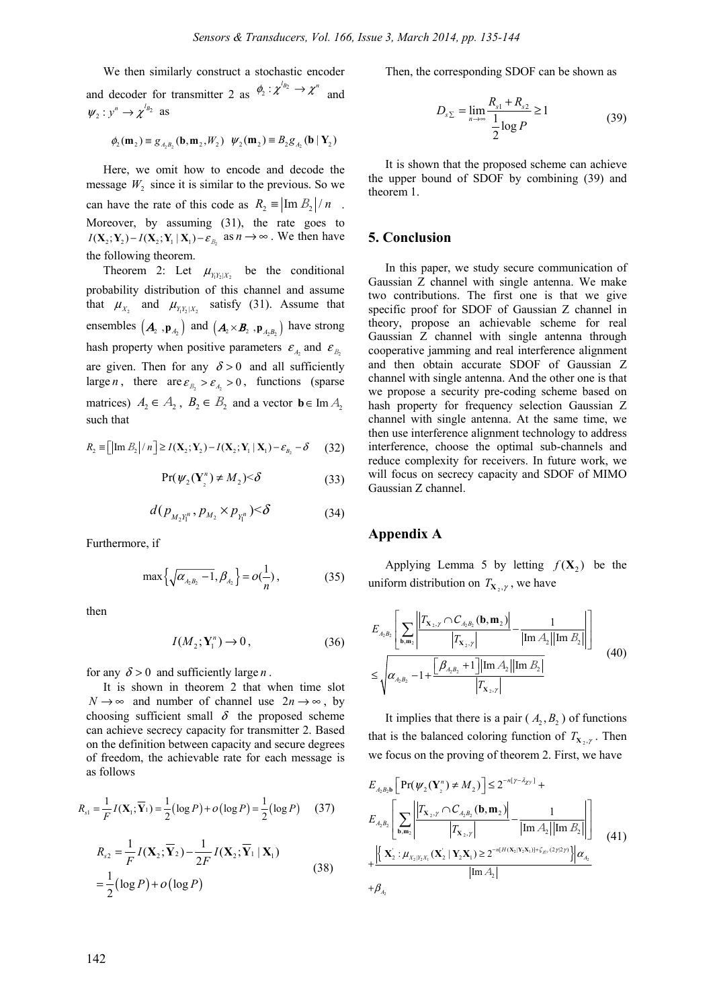We then similarly construct a stochastic encoder and decoder for transmitter 2 as  $\phi_2 : \chi^{b_2} \to \chi^n$  and  $\Psi_2 : y^n \to \chi^{l_{B_2}}$  as

$$
\phi_2(\mathbf{m}_2) \equiv g_{A_2B_2}(\mathbf{b}, \mathbf{m}_2, W_2) \quad \psi_2(\mathbf{m}_2) \equiv B_2g_{A_2}(\mathbf{b} | \mathbf{Y}_2)
$$

Here, we omit how to encode and decode the message  $W_2$  since it is similar to the previous. So we can have the rate of this code as  $R_2 \equiv \left| \text{Im } B_2 \right| / n$ . Moreover, by assuming (31), the rate goes to  $I(X_2; Y_2) - I(X_2; Y_1 | X_1) - \varepsilon_{B_2}$  as  $n \to \infty$ . We then have the following theorem.

Theorem 2: Let  $\mu_{Y_1Y_2|X_2}$  be the conditional probability distribution of this channel and assume that  $\mu_{X_2}$  and  $\mu_{Y_1Y_2|X_2}$  satisfy (31). Assume that ensembles  $(A_2, \mathbf{p}_A)$  and  $(A_2 \times B_2, \mathbf{p}_{A, B_2})$  have strong hash property when positive parameters  $\varepsilon_A$  and  $\varepsilon_B$ are given. Then for any  $\delta > 0$  and all sufficiently large *n*, there are  $\varepsilon_{B_2} > \varepsilon_{A_2} > 0$ , functions (sparse matrices)  $A_2 \in A_2$ ,  $B_2 \in B_2$  and a vector  $\mathbf{b} \in \text{Im } A_2$ such that

$$
R_2 \equiv \left[ \left| \operatorname{Im} B_2 \right| / n \right] \ge I(\mathbf{X}_2; \mathbf{Y}_2) - I(\mathbf{X}_2; \mathbf{Y}_1 \mid \mathbf{X}_1) - \varepsilon_{B_2} - \delta \tag{32}
$$

$$
Pr(\psi_2(\mathbf{Y}_2^n) \neq M_2) < \delta \tag{33}
$$

$$
d(p_{M_2Y_1^n}, p_{M_2} \times p_{Y_1^n}) < \delta \tag{34}
$$

Furthermore, if

$$
\max\left\{\sqrt{\alpha_{A_2B_2}-1}, \beta_{A_2}\right\} = o(\frac{1}{n}),\tag{35}
$$

then

$$
I(M_2; \mathbf{Y}_1^n) \to 0, \tag{36}
$$

for any  $\delta > 0$  and sufficiently large *n*.

It is shown in theorem 2 that when time slot  $N \rightarrow \infty$  and number of channel use  $2n \rightarrow \infty$ , by choosing sufficient small  $\delta$  the proposed scheme can achieve secrecy capacity for transmitter 2. Based on the definition between capacity and secure degrees of freedom, the achievable rate for each message is as follows

$$
R_{s1} = \frac{1}{F} I(\mathbf{X}_1; \overline{\mathbf{Y}}_1) = \frac{1}{2} (\log P) + o(\log P) = \frac{1}{2} (\log P) \quad (37)
$$

$$
R_{s2} = \frac{1}{F} I(\mathbf{X}_2; \overline{\mathbf{Y}}_2) - \frac{1}{2F} I(\mathbf{X}_2; \overline{\mathbf{Y}}_1 | \mathbf{X}_1)
$$
  
= 
$$
\frac{1}{2} (\log P) + o(\log P)
$$
 (38)

Then, the corresponding SDOF can be shown as

$$
D_{s_{\Sigma}} = \lim_{n \to \infty} \frac{R_{s_1} + R_{s_2}}{\frac{1}{2} \log P} \ge 1
$$
 (39)

It is shown that the proposed scheme can achieve the upper bound of SDOF by combining (39) and theorem 1.

## **5. Conclusion**

In this paper, we study secure communication of Gaussian Z channel with single antenna. We make two contributions. The first one is that we give specific proof for SDOF of Gaussian Z channel in theory, propose an achievable scheme for real Gaussian Z channel with single antenna through cooperative jamming and real interference alignment and then obtain accurate SDOF of Gaussian Z channel with single antenna. And the other one is that we propose a security pre-coding scheme based on hash property for frequency selection Gaussian Z channel with single antenna. At the same time, we then use interference alignment technology to address interference, choose the optimal sub-channels and reduce complexity for receivers. In future work, we will focus on secrecy capacity and SDOF of MIMO Gaussian Z channel.

## **Appendix A**

2

Applying Lemma 5 by letting  $f(X_2)$  be the uniform distribution on  $T_{\mathbf{X}_2, \gamma}$ , we have

$$
E_{A_2B_2} \left[ \sum_{\mathbf{b}, \mathbf{m}_2} \frac{\left| T_{\mathbf{X}_2, \gamma} \cap C_{A_2B_2} (\mathbf{b}, \mathbf{m}_2) \right|}{\left| T_{\mathbf{X}_2, \gamma} \right|} - \frac{1}{|\text{Im } A_2| |\text{Im } B_2|} \right]
$$
  

$$
\leq \sqrt{\alpha_{A_2B_2} - 1 + \frac{\left[ \beta_{A_2B_2} + 1 \right] |\text{Im } A_2| |\text{Im } B_2|}{\left| T_{\mathbf{X}_2, \gamma} \right|}}
$$
(40)

It implies that there is a pair  $(A_2, B_2)$  of functions that is the balanced coloring function of  $T_{\mathbf{x},\mathbf{y}}$ . Then we focus on the proving of theorem 2. First, we have

$$
E_{A_2B_2b} \left[ Pr(\psi_2(\mathbf{Y}_1^n) \neq M_2) \right] \leq 2^{-n[\gamma - \lambda_{\chi y}]} +
$$
  
\n
$$
E_{A_2B_2} \left[ \sum_{\mathbf{b},\mathbf{m}_2} \left| \frac{|\mathcal{T}_{\mathbf{X}_2,\gamma} \cap C_{A_2B_2}(\mathbf{b},\mathbf{m}_2)|}{|\mathcal{T}_{\mathbf{X}_2,\gamma}|} - \frac{1}{|\text{Im }A_2| |\text{Im }B_2|} \right| \right]
$$
  
\n
$$
+ \left| \left\{ \frac{\mathbf{X}_2 : \mu_{X_2|Y_2X_1}(\mathbf{X}_2' | \mathbf{Y}_2\mathbf{X}_1) \geq 2^{-n[H(\mathbf{X}_2|\mathbf{Y}_2\mathbf{X}_1)] + \zeta_{\chi y}(2\gamma |2\gamma)} \right\} | \alpha_{A_2} + \beta_{A_3} \right]
$$
(41)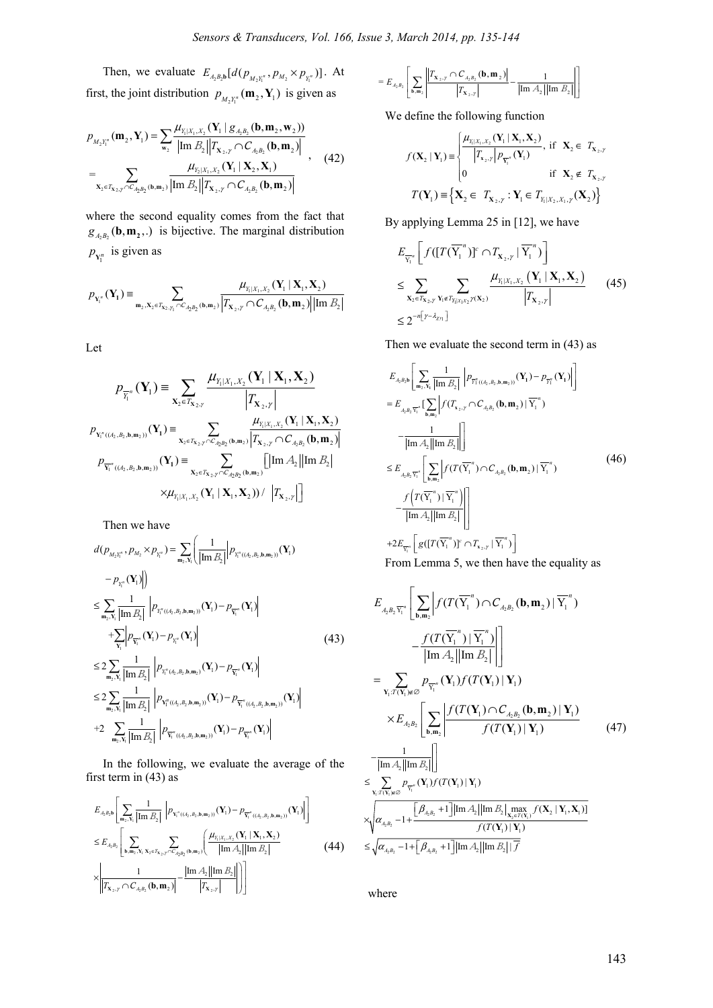Then, we evaluate  $E_{A_2 B_2 b} [d(p_{M_2 Y_1^n}, p_{M_2} \times p_{Y_1^n})]$ . At first, the joint distribution  $p_{M,Y_1^n}(\mathbf{m}_2, \mathbf{Y}_1)$  is given as

$$
p_{M_2Y_1^n}(\mathbf{m}_2, \mathbf{Y}_1) = \sum_{\mathbf{w}_2} \frac{\mu_{Y_1|X_1, X_2}(\mathbf{Y}_1 | g_{A_2B_2}(\mathbf{b}, \mathbf{m}_2, \mathbf{w}_2))}{|\text{Im } B_2||T_{\mathbf{X}_2, Y} \cap C_{A_2B_2}(\mathbf{b}, \mathbf{m}_2)|} = \sum_{\mathbf{X}_2 \in T_{\mathbf{X}_2, Y} \cap C_{A_2B_2}(\mathbf{b}, \mathbf{m}_2)} \frac{\mu_{Y_2|X_1, X_2}(\mathbf{Y}_1 | \mathbf{X}_2, \mathbf{X}_1)}{|\text{Im } B_2||T_{\mathbf{X}_2, Y} \cap C_{A_2B_2}(\mathbf{b}, \mathbf{m}_2)|}
$$
(42)

where the second equality comes from the fact that  $g_{A_2B_2}$  (**b**, **m**<sub>2</sub>,.) is bijective. The marginal distribution  $p_{Y_1^n}$  is given as

$$
p_{Y_1^n}(Y_1) \equiv \sum_{\mathbf{m}_2, \mathbf{X}_2 \in \mathcal{T}_{\mathbf{X}_2, \mathcal{Y}_1} \cap C_{A_2B_2}(\mathbf{b}, \mathbf{m}_2)} \frac{\mu_{Y_1|X_1, X_2}(Y_1 | \mathbf{X}_1, \mathbf{X}_2)}{\left|\mathcal{T}_{\mathbf{X}_2, \mathcal{Y}} \cap C_{A_2B_2}(\mathbf{b}, \mathbf{m}_2)\right| \left|\text{Im } B_2\right|}
$$

Let

$$
p_{\overline{Y}_{1}^{n}}(\mathbf{Y}_{1}) = \sum_{\mathbf{X}_{2} \in T_{\mathbf{X}_{2},y}} \frac{\mu_{Y_{1}|X_{1},X_{2}}(\mathbf{Y}_{1} | \mathbf{X}_{1},\mathbf{X}_{2})}{\left|T_{\mathbf{X}_{2},y}\right|}
$$
  
\n
$$
p_{Y_{1}^{n}((A_{2},B_{2},b,m_{2}))}(\mathbf{Y}_{1}) = \sum_{\mathbf{X}_{2} \in T_{\mathbf{X}_{2},y} \cap C_{A_{2}B_{2}}(b,m_{2})} \frac{\mu_{Y_{1}|X_{1},X_{2}}(\mathbf{Y}_{1} | \mathbf{X}_{1},\mathbf{X}_{2})}{\left|T_{\mathbf{X}_{2},y} \cap C_{A_{2}B_{2}}(b,m_{2})\right|}
$$
  
\n
$$
p_{\overline{Y}_{1}^{n}((A_{2},B_{2},b,m_{2}))}(\mathbf{Y}_{1}) = \sum_{\mathbf{X}_{2} \in T_{\mathbf{X}_{2},y} \cap C_{A_{2}B_{2}}(b,m_{2})} \left[ \left|\text{Im } A_{2}\right| \left|\text{Im } B_{2}\right| \right]
$$
  
\n
$$
\times \mu_{Y_{1}|X_{1},X_{2}}(\mathbf{Y}_{1} | \mathbf{X}_{1}, \mathbf{X}_{2})) / \left|T_{\mathbf{X}_{2},y}\right| \right]
$$

Then we have

$$
d(p_{M_{2}Y_{1}^{n}}, p_{M_{2}} \times p_{Y_{1}^{n}}) = \sum_{m_{2}, Y_{1}} \left( \frac{1}{|\text{Im } B_{2}|} | p_{Y_{1}^{n}((A_{2}, B_{2}, b, m_{2}))}(Y_{1}) - p_{Y_{1}^{n}}(Y_{1})| \right)
$$
  
\n
$$
\leq \sum_{m_{2}, Y_{1}} \frac{1}{|\text{Im } B_{2}|} | p_{Y_{1}^{n}((A_{2}, B_{2}, b, m_{2}))}(Y_{1}) - p_{Y_{1}^{n}}(Y_{1})|
$$
  
\n
$$
+ \sum_{Y_{1}} | p_{Y_{1}^{n}}(Y_{1}) - p_{Y_{1}^{n}}(Y_{1})|
$$
  
\n
$$
\leq 2 \sum_{m_{2}, Y_{1}} \frac{1}{|\text{Im } B_{2}|} | p_{Y_{1}^{n}(A_{2}, B_{2}, b, m_{2})}(Y_{1}) - p_{Y_{1}^{n}}(Y_{1})|
$$
  
\n
$$
\leq 2 \sum_{m_{2}, Y_{1}} \frac{1}{|\text{Im } B_{2}|} | p_{Y_{1}^{n}((A_{2}, B_{2}, b, m_{2}))}(Y_{1}) - p_{Y_{1}^{n}((A_{2}, B_{2}, b, m_{2}))}(Y_{1})|
$$
  
\n+2  $\sum_{m_{2}, Y_{1}} \frac{1}{|\text{Im } B_{2}|} | p_{Y_{1}^{n}((A_{2}, B_{2}, b, m_{2}))}(Y_{1}) - p_{Y_{1}^{n}}(Y_{1})|$ 

In the following, we evaluate the average of the first term in (43) as

$$
E_{A_2B_2b} \left[ \sum_{\mathbf{m}_2, \mathbf{Y}_1} \frac{1}{|\text{Im } B_2|} \left| p_{\mathbf{Y}_1^{\pi}((A_2, B_2, \mathbf{b}, \mathbf{m}_2))}(\mathbf{Y}_1) - p_{\overline{\mathbf{Y}_1}^{\pi}((A_2, B_2, \mathbf{b}, \mathbf{m}_2))}(\mathbf{Y}_1) \right| \right]
$$
  
\n
$$
\leq E_{A_2B_2} \left[ \sum_{\mathbf{b}, \mathbf{m}_2, \mathbf{Y}_1, \mathbf{Y}_2 \in \mathcal{T}_{\mathbf{X}_2, \mathbf{y}} \cap C_{A_2B_2}(\mathbf{b}, \mathbf{m}_2)} \left( \frac{\mu_{Y_1|X_1, X_2}(\mathbf{Y}_1 | \mathbf{X}_1, \mathbf{X}_2)}{|\text{Im } A_2||\text{Im } B_2|} \right) \right]
$$
(44)

$$
= E_{A_2 B_2} \left[ \sum_{\mathbf{b}, \mathbf{m}_2} \left| \frac{\left| T_{\mathbf{x}_2, y} \cap C_{A_2 B_2} (\mathbf{b}, \mathbf{m}_2) \right|}{\left| T_{\mathbf{x}_2, y} \right|} - \frac{1}{\left| \text{Im } A_2 \right| \left| \text{Im } B_2 \right|} \right| \right]
$$

We define the following function

$$
f(\mathbf{X}_{2} | \mathbf{Y}_{1}) = \begin{cases} \frac{\mu_{Y_{1}|X_{1},X_{2}}(\mathbf{Y}_{1} | \mathbf{X}_{1}, \mathbf{X}_{2})}{|T_{\mathbf{x}_{2},y}| p_{\overline{Y_{1}}}( \mathbf{Y}_{1})}, \text{ if } \mathbf{X}_{2} \in T_{\mathbf{X}_{2},y} \\ 0 \text{ if } \mathbf{X}_{2} \notin T_{\mathbf{X}_{2},y} \\ T(\mathbf{Y}_{1}) = \begin{cases} \mathbf{X}_{2} \in T_{\mathbf{X}_{2},y} : \mathbf{Y}_{1} \in T_{Y_{1}|X_{2},X_{1},y}(\mathbf{X}_{2}) \end{cases} \end{cases}
$$

By applying Lemma 25 in [12], we have

$$
E_{\overline{Y_1}^n} \left[ f([T(\overline{Y_1}^n)]^c \cap T_{\mathbf{x}_2, y} | \overline{Y_1}^n) \right]
$$
  
\n
$$
\leq \sum_{\mathbf{x}_2 \in T_{\mathbf{x}_2, y} \mathbf{x}_1 \in T_{\mathbf{x}_1 | X_1, Y_2} \cap (\mathbf{x}_2)} \frac{\mu_{Y_1 | X_1, X_2} \left( \mathbf{Y}_1 | \mathbf{X}_1, \mathbf{X}_2 \right)}{|T_{\mathbf{x}_2, y}|}
$$
(45)  
\n
$$
\leq 2^{-n \left[ \gamma - \lambda_{2\gamma} \right]}
$$

Then we evaluate the second term in (43) as

$$
E_{A_{2}B_{2}b} \left[ \sum_{m_{2}, Y_{1}} \frac{1}{|\text{Im } B_{2}|} \left| p_{\overline{Y}_{1}^{n}((A_{2}, B_{2}, b, m_{2}))} (\mathbf{Y}_{1}) - p_{\overline{Y}_{1}^{n}} (\mathbf{Y}_{1}) \right| \right]
$$
  
\n
$$
= E_{A_{2}B_{2} \overline{Y}_{1}^{n}} \left[ \sum_{b, m_{2}} \left| f(T_{x_{2}, y} \cap C_{A_{2}B_{2}} (\mathbf{b}, \mathbf{m}_{2}) | \overline{Y}_{1}^{n}) - \frac{1}{|\text{Im } A_{2}| |\text{Im } B_{2}|} \right| \right]
$$
  
\n
$$
\leq E_{A_{2}B_{2} \overline{Y}_{1}^{n}} \left[ \sum_{b, m_{2}} \left| f(T(\overline{Y}_{1}^{n}) \cap C_{A_{2}B_{2}} (\mathbf{b}, \mathbf{m}_{2}) | \overline{Y}_{1}^{n}) - \frac{f(T(\overline{Y}_{1}^{n}) | \overline{Y}_{1}^{n})}{|\text{Im } A_{2}| |\text{Im } B_{2}|} \right| \right]
$$
  
\n+2 $E_{\overline{Y}_{1}^{n}} \left[ g([T(\overline{Y}_{1}^{n}) | \overline{Y}_{1}^{n})]^{c} \cap T_{x_{2}, y} | \overline{Y}_{1}^{n}) \right]$ 

From Lemma 5, we then have the equality as

$$
E_{A_{2}B_{2}\overline{Y}_{1}^{n}}\left[\sum_{\mathbf{b},\mathbf{m}_{2}}\left|f(T(\overline{Y}_{1}^{n})\cap C_{A_{2}B_{2}}(\mathbf{b},\mathbf{m}_{2})|\overline{Y}_{1}^{n})\right.\right]
$$
\n
$$
-\frac{f(T(\overline{Y}_{1}^{n})|\overline{Y}_{1}^{n})}{|\text{Im }A_{2}||\text{Im }B_{2}|}\right]
$$
\n
$$
=\sum_{\mathbf{Y}_{1}:T(\mathbf{Y}_{1})\notin\emptyset}p_{\overline{Y}_{1}^{n}}(\mathbf{Y}_{1})f(T(\mathbf{Y}_{1})|\mathbf{Y}_{1})
$$
\n
$$
\times E_{A_{2}B_{2}}\left[\sum_{\mathbf{b},\mathbf{m}_{2}}\left|\frac{f(T(\mathbf{Y}_{1})\cap C_{A_{2}B_{2}}(\mathbf{b},\mathbf{m}_{2})|\mathbf{Y}_{1})}{f(T(\mathbf{Y}_{1})|\mathbf{Y}_{1})}\right|\right]
$$
\n
$$
\leq \sum_{\mathbf{Y}_{1}:T(\mathbf{Y}_{1})\notin\emptyset}p_{\overline{Y}_{1}^{n}}(\mathbf{Y}_{1})f(T(\mathbf{Y}_{1})|\mathbf{Y}_{1})
$$
\n
$$
\times\left[\sum_{\mathbf{Y}_{1}:T(\mathbf{Y}_{1})\notin\emptyset}p_{\overline{Y}_{1}^{n}}(\mathbf{Y}_{1})f(T(\mathbf{Y}_{1})|\mathbf{Y}_{1})\right]
$$
\n
$$
\times\left[\alpha_{A_{2}B_{2}}-1+\frac{\left[\beta_{A_{2}B_{2}}+1\right]|\text{Im }A_{2}|\text{Im }B_{2}|\frac{\text{max}}{\mathbf{X}_{2}f(\mathbf{Y}_{1})}f(\mathbf{X}_{2}|\mathbf{Y}_{1},\mathbf{X}_{1})\right]}f(T(\mathbf{Y}_{1})|\mathbf{Y}_{1})\right]
$$

where